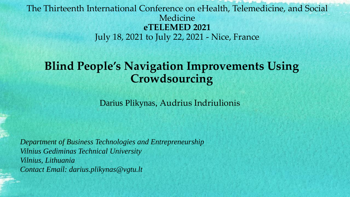### The Thirteenth International Conference on eHealth, Telemedicine, and Social Medicine **eTELEMED 2021** July 18, 2021 to July 22, 2021 - Nice, France

# **Blind People's Navigation Improvements Using Crowdsourcing**

Darius Plikynas, Audrius Indriulionis

*Department of Business Technologies and Entrepreneurship Vilnius Gediminas Technical University Vilnius, Lithuania Contact Email: darius.plikynas@vgtu.lt*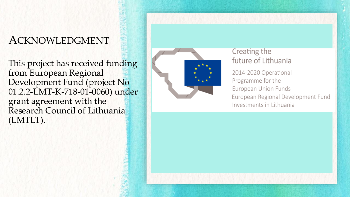# ACKNOWLEDGMENT

This project has received funding from European Regional Development Fund (project No 01.2.2-LMT-K-718-01-0060) under grant agreement with the Research Council of Lithuania (LMTLT).



#### Creating the future of Lithuania

2014-2020 Operational Programme for the European Union Funds European Regional Development Fund Investments in Lithuania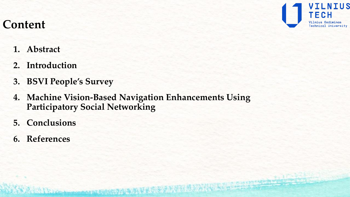

# **Content**

- **1. Abstract**
- **2. Introduction**
- **3. BSVI People's Survey**
- **4. Machine Vision-Based Navigation Enhancements Using Participatory Social Networking**

I Crock more union for STANDARD AND LE BOOK ?

- **5. Conclusions**
- **6. References**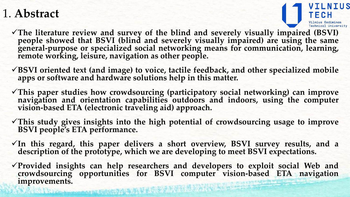# 1. **Abstract**



- **The literature review and survey of the blind and severely visually impaired (BSVI) people showed that BSVI (blind and severely visually impaired) are using the same general-purpose or specialized social networking means for communication, learning, remote working, leisure, navigation as other people.**
- **BSVI oriented text (and image) to voice, tactile feedback, and other specialized mobile apps or software and hardware solutions help in this matter.**
- **This paper studies how crowdsourcing (participatory social networking) can improve navigation and orientation capabilities outdoors and indoors, using the computer vision-based ETA (electronic traveling aid) approach.**
- **This study gives insights into the high potential of crowdsourcing usage to improve BSVI people's ETA performance.**
- **In this regard, this paper delivers a short overview, BSVI survey results, and a description of the prototype, which we are developing to meet BSVI expectations.**
- **Provided insights can help researchers and developers to exploit social Web and crowdsourcing opportunities for BSVI computer vision-based ETA navigation improvements.**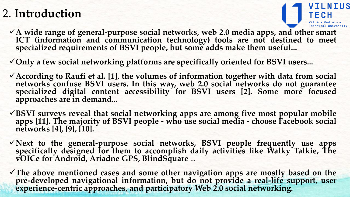# 2. **Introduction**



- **A wide range of general-purpose social networks, web 2.0 media apps, and other smart ICT (information and communication technology) tools are not destined to meet specialized requirements of BSVI people, but some adds make them useful...**
- **Only a few social networking platforms are specifically oriented for BSVI users...**
- **According to Raufi et al. [1], the volumes of information together with data from social networks confuse BSVI users. In this way, web 2.0 social networks do not guarantee specialized digital content accessibility for BSVI users [2]. Some more focused approaches are in demand...**
- **BSVI surveys reveal that social networking apps are among five most popular mobile apps [11]. The majority of BSVI people - who use social media - choose Facebook social networks [4], [9], [10].**
- **Next to the general-purpose social networks, BSVI people frequently use apps specifically designed for them to accomplish daily activities like Walky Talkie, The vOICe for Android, Ariadne GPS, BlindSquare** ...
- **The above mentioned cases and some other navigation apps are mostly based on the pre-developed navigational information, but do not provide a real-life support, user experience-centric approaches, and participatory Web 2.0 social networking.**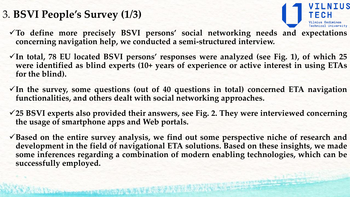# 3. **BSVI People's Survey (1/3)**



- **To define more precisely BSVI persons' social networking needs and expectations concerning navigation help, we conducted a semi-structured interview.**
- **In total, 78 EU located BSVI persons' responses were analyzed (see Fig. 1), of which 25 were identified as blind experts (10+ years of experience or active interest in using ETAs for the blind).**
- **In the survey, some questions (out of 40 questions in total) concerned ETA navigation functionalities, and others dealt with social networking approaches.**
- **25 BSVI experts also provided their answers, see Fig. 2. They were interviewed concerning the usage of smartphone apps and Web portals.**
- **Based on the entire survey analysis, we find out some perspective niche of research and development in the field of navigational ETA solutions. Based on these insights, we made some inferences regarding a combination of modern enabling technologies, which can be successfully employed.**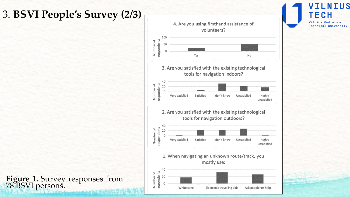# 3. **BSVI People's Survey (2/3)**



 $\mathsf{H}\mathsf{S}$ 

Е

C H Vilnius Gediminas

**Technical University** 

**Figure 1.** Survey responses from 78 BSVI persons.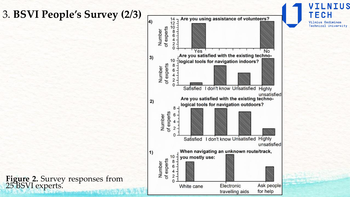### 3. **BSVI People's Survey (2/3)**



**ILNIUS** 

TECH

Vilnius Gediminas

**Technical University** 

**Figure 2.** Survey responses from 25 BSVI experts.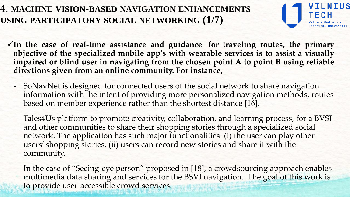### 4. **MACHINE VISION-BASED NAVIGATION ENHANCEMENTS USING PARTICIPATORY SOCIAL NETWORKING (1/7)**



- **In the case of real-time assistance and guidance' for traveling routes, the primary objective of the specialized mobile app's with wearable services is to assist a visually impaired or blind user in navigating from the chosen point A to point B using reliable directions given from an online community. For instance,**
	- SoNavNet is designed for connected users of the social network to share navigation information with the intent of providing more personalized navigation methods, routes based on member experience rather than the shortest distance [16].
	- Tales4Us platform to promote creativity, collaboration, and learning process, for a BVSI and other communities to share their shopping stories through a specialized social network. The application has such major functionalities: (i) the user can play other users' shopping stories, (ii) users can record new stories and share it with the community.
	- In the case of "Seeing-eye person" proposed in [18], a crowdsourcing approach enables multimedia data sharing and services for the BSVI navigation. The goal of this work is to provide user-accessible crowd services.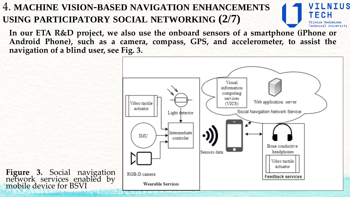# 4. **MACHINE VISION-BASED NAVIGATION ENHANCEMENTS USING PARTICIPATORY SOCIAL NETWORKING (2/7)**

**In our ETA R&D project, we also use the onboard sensors of a smartphone (iPhone or Android Phone), such as a camera, compass, GPS, and accelerometer, to assist the navigation of a blind user, see Fig. 3.**



LNIUS

TECH

echnical University

**Figure 3.** Social navigation network services enabled by mobile device for BSVI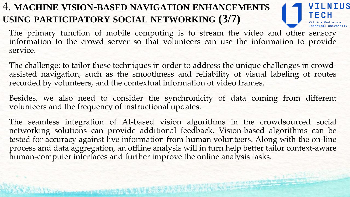# 4. **MACHINE VISION-BASED NAVIGATION ENHANCEMENTS USING PARTICIPATORY SOCIAL NETWORKING (3/7)**



The primary function of mobile computing is to stream the video and other sensory information to the crowd server so that volunteers can use the information to provide service.

The challenge: to tailor these techniques in order to address the unique challenges in crowdassisted navigation, such as the smoothness and reliability of visual labeling of routes recorded by volunteers, and the contextual information of video frames.

Besides, we also need to consider the synchronicity of data coming from different volunteers and the frequency of instructional updates.

The seamless integration of AI-based vision algorithms in the crowdsourced social networking solutions can provide additional feedback. Vision-based algorithms can be tested for accuracy against live information from human volunteers. Along with the on-line process and data aggregation, an offline analysis will in turn help better tailor context-aware human-computer interfaces and further improve the online analysis tasks.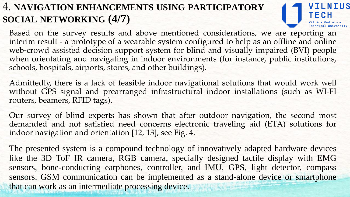## 4. **NAVIGATION ENHANCEMENTS USING PARTICIPATORY SOCIAL NETWORKING (4/7)**



Based on the survey results and above mentioned considerations, we are reporting an interim result - a prototype of a wearable system configured to help as an offline and online web-crowd assisted decision support system for blind and visually impaired (BVI) people when orientating and navigating in indoor environments (for instance, public institutions, schools, hospitals, airports, stores, and other buildings).

Admittedly, there is a lack of feasible indoor navigational solutions that would work well without GPS signal and prearranged infrastructural indoor installations (such as WI-FI routers, beamers, RFID tags).

Our survey of blind experts has shown that after outdoor navigation, the second most demanded and not satisfied need concerns electronic traveling aid (ETA) solutions for indoor navigation and orientation [12, 13], see Fig. 4.

The presented system is a compound technology of innovatively adapted hardware devices like the 3D ToF IR camera, RGB camera, specially designed tactile display with EMG sensors, bone-conducting earphones, controller, and IMU, GPS, light detector, compass sensors. GSM communication can be implemented as a stand-alone device or smartphone that can work as an intermediate processing device.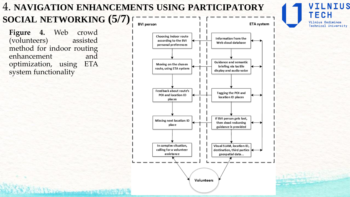#### 4. **NAVIGATION ENHANCEMENTS USING PARTICIPATORY SOCIAL NETWORKING (5/7)BVI** person

**Figure 4.** Web crowd (volunteers) assisted method for indoor routing enhancement and optimization, using ETA system functionality

Slaboratory and the top of



**VTI NTIIS** TECH Vilnius Gediminas **Technical University**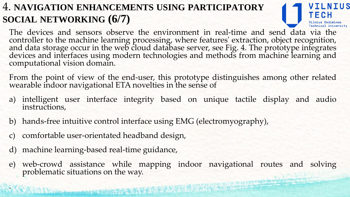# 4. **NAVIGATION ENHANCEMENTS USING PARTICIPATORY SOCIAL NETWORKING (6/7)**

The devices and sensors observe the environment in real-time and send data via the controller to the machine learning processing, where features' extraction, object recognition, and data storage occur in the web cloud database server, see Fig. 4. The prototype integrates devices and interfaces using modern technologies and methods from machine learning and computational vision domain.

LNIUS

From the point of view of the end-user, this prototype distinguishes among other related wearable indoor navigational ETA novelties in the sense of

- a) intelligent user interface integrity based on unique tactile display and audio instructions,
- b) hands-free intuitive control interface using EMG (electromyography),
- c) comfortable user-orientated headband design,
- d) machine learning-based real-time guidance,

.

e) web-crowd assistance while mapping indoor navigational routes and solving problematic situations on the way.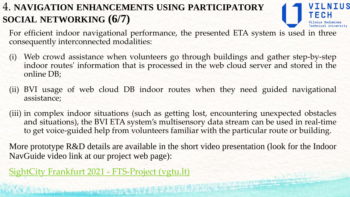# 4. **NAVIGATION ENHANCEMENTS USING PARTICIPATORY SOCIAL NETWORKING (6/7)**

For efficient indoor navigational performance, the presented ETA system is used in three consequently interconnected modalities:

- (i) Web crowd assistance when volunteers go through buildings and gather step-by-step indoor routes' information that is processed in the web cloud server and stored in the online DB;
- (ii) BVI usage of web cloud DB indoor routes when they need guided navigational assistance;
- (iii) in complex indoor situations (such as getting lost, encountering unexpected obstacles and situations), the BVI ETA system's multisensory data stream can be used in real-time to get voice-guided help from volunteers familiar with the particular route or building.

More prototype R&D details are available in the short video presentation (look for the Indoor NavGuide video link at our project web page):

SightCity Frankfurt 2021 - [FTS-Project](https://fts.vgtu.lt/sightcity-frankfurt-2021/) (vgtu.lt)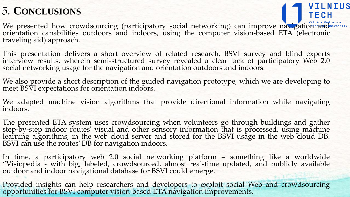# 5. **CONCLUSIONS**

WILNIUS<br>TECH We presented how crowdsourcing (participatory social networking) can improve navigatio<del>n an</del>d orientation capabilities outdoors and indoors, using the computer vision-based ETA (electronic traveling aid) approach.

This presentation delivers a short overview of related research, BSVI survey and blind experts interview results, wherein semi-structured survey revealed a clear lack of participatory Web 2.0 social networking usage for the navigation and orientation outdoors and indoors.

We also provide a short description of the guided navigation prototype, which we are developing to meet BSVI expectations for orientation indoors.

We adapted machine vision algorithms that provide directional information while navigating indoors.

The presented ETA system uses crowdsourcing when volunteers go through buildings and gather step-by-step indoor routes' visual and other sensory information that is processed, using machine learning algorithms, in the web cloud server and stored for the BSVI usage in the web cloud DB. BSVI can use the routes' DB for navigation indoors.

In time, a participatory web 2.0 social networking platform – something like a worldwide "Visiopedia - with big, labeled, crowdsourced, almost real-time updated, and publicly available outdoor and indoor navigational database for BSVI could emerge.

Provided insights can help researchers and developers to exploit social Web and crowdsourcing opportunities for BSVI computer vision-based ETA navigation improvements.